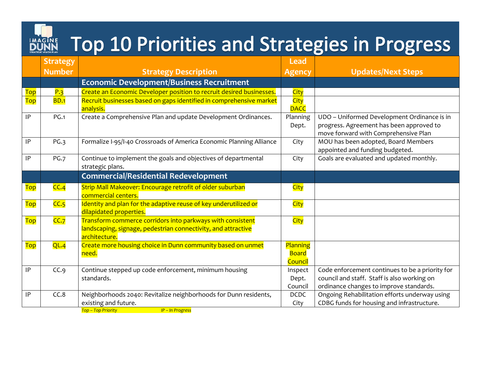## **BURING Top 10 Priorities and Strategies in Progress**

|                  | <b>Strategy</b> |                                                                                                                                              | <b>Lead</b>                         |                                                                                                                                           |
|------------------|-----------------|----------------------------------------------------------------------------------------------------------------------------------------------|-------------------------------------|-------------------------------------------------------------------------------------------------------------------------------------------|
|                  | <b>Number</b>   | <b>Strategy Description</b>                                                                                                                  | <b>Agency</b>                       | <b>Updates/Next Steps</b>                                                                                                                 |
|                  |                 | <b>Economic Development/Business Recruitment</b>                                                                                             |                                     |                                                                                                                                           |
| <b>Top</b>       | P.3             | Create an Economic Developer position to recruit desired businesses.                                                                         | City                                |                                                                                                                                           |
| <b>Top</b>       | <b>BD.1</b>     | Recruit businesses based on gaps identified in comprehensive market<br>analysis.                                                             | City<br><b>DACC</b>                 |                                                                                                                                           |
| IP               | <b>PG.1</b>     | Create a Comprehensive Plan and update Development Ordinances.                                                                               | Planning<br>Dept.                   | UDO - Uniformed Development Ordinance is in<br>progress. Agreement has been approved to<br>move forward with Comprehensive Plan           |
| IP               | <b>PG.3</b>     | Formalize I-95/I-40 Crossroads of America Economic Planning Alliance                                                                         | City                                | MOU has been adopted, Board Members<br>appointed and funding budgeted.                                                                    |
| IP               | <b>PG.7</b>     | Continue to implement the goals and objectives of departmental<br>strategic plans.                                                           | City                                | Goals are evaluated and updated monthly.                                                                                                  |
|                  |                 | <b>Commercial/Residential Redevelopment</b>                                                                                                  |                                     |                                                                                                                                           |
| Top              | CC.4            | Strip Mall Makeover: Encourage retrofit of older suburban<br>commercial centers.                                                             | City                                |                                                                                                                                           |
| <mark>Top</mark> | CC.5            | Identity and plan for the adaptive reuse of key underutilized or<br>dilapidated properties.                                                  | <b>City</b>                         |                                                                                                                                           |
| <mark>Top</mark> | CC.7            | Transform commerce corridors into parkways with consistent<br>landscaping, signage, pedestrian connectivity, and attractive<br>architecture. | <b>City</b>                         |                                                                                                                                           |
| Top              | QL.4            | Create more housing choice in Dunn community based on unmet<br>need.                                                                         | Planning<br><b>Board</b><br>Council |                                                                                                                                           |
| IP               | CC.9            | Continue stepped up code enforcement, minimum housing<br>standards.                                                                          | Inspect<br>Dept.<br>Council         | Code enforcement continues to be a priority for<br>council and staff. Staff is also working on<br>ordinance changes to improve standards. |
| IP               | CC.8            | Neighborhoods 2040: Revitalize neighborhoods for Dunn residents,<br>existing and future.<br>$IP - In Proores$<br><b>Ton – Ton Priority</b>   | <b>DCDC</b><br>City                 | Ongoing Rehabilitation efforts underway using<br>CDBG funds for housing and infrastructure.                                               |